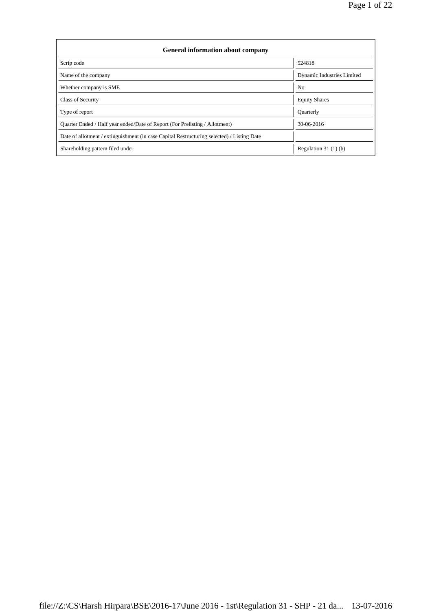| <b>General information about company</b>                                                   |                            |  |  |  |  |  |  |
|--------------------------------------------------------------------------------------------|----------------------------|--|--|--|--|--|--|
| Scrip code                                                                                 | 524818                     |  |  |  |  |  |  |
| Name of the company                                                                        | Dynamic Industries Limited |  |  |  |  |  |  |
| Whether company is SME                                                                     | N <sub>0</sub>             |  |  |  |  |  |  |
| <b>Class of Security</b>                                                                   | <b>Equity Shares</b>       |  |  |  |  |  |  |
| Type of report                                                                             | <b>Ouarterly</b>           |  |  |  |  |  |  |
| Ouarter Ended / Half year ended/Date of Report (For Prelisting / Allotment)                | 30-06-2016                 |  |  |  |  |  |  |
| Date of allotment / extinguishment (in case Capital Restructuring selected) / Listing Date |                            |  |  |  |  |  |  |
| Shareholding pattern filed under                                                           | Regulation $31(1)(b)$      |  |  |  |  |  |  |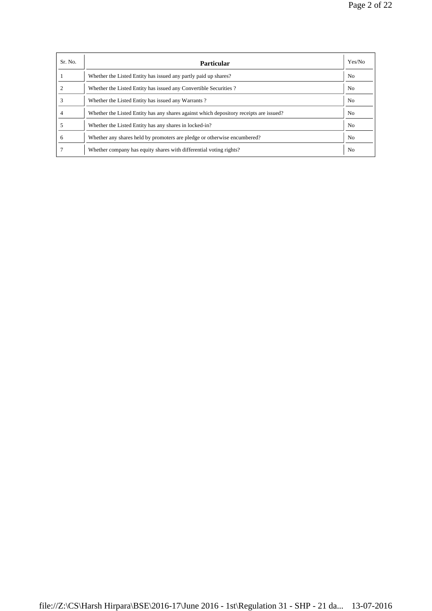| Sr. No. | Particular                                                                             | Yes/No         |
|---------|----------------------------------------------------------------------------------------|----------------|
|         | Whether the Listed Entity has issued any partly paid up shares?                        | N <sub>0</sub> |
| 2       | Whether the Listed Entity has issued any Convertible Securities?                       | N <sub>0</sub> |
| 3       | Whether the Listed Entity has issued any Warrants?                                     | N <sub>0</sub> |
| 4       | Whether the Listed Entity has any shares against which depository receipts are issued? | No             |
|         | Whether the Listed Entity has any shares in locked-in?                                 | N <sub>0</sub> |
| 6       | Whether any shares held by promoters are pledge or otherwise encumbered?               | N <sub>0</sub> |
|         | Whether company has equity shares with differential voting rights?                     | N <sub>0</sub> |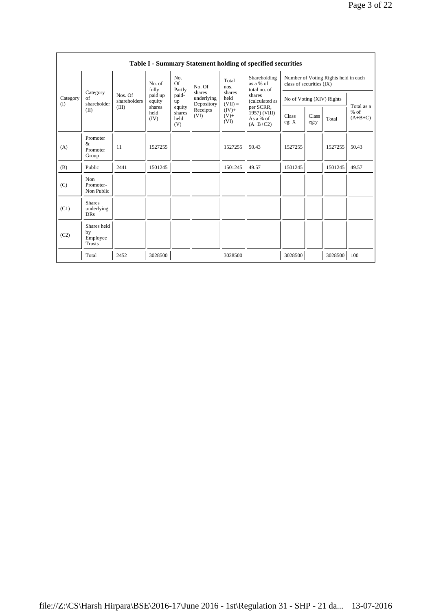| Table I - Summary Statement holding of specified securities |                                           |                         |                        |                                 |                                    |                             |                                                      |                                                                  |               |         |                                   |  |
|-------------------------------------------------------------|-------------------------------------------|-------------------------|------------------------|---------------------------------|------------------------------------|-----------------------------|------------------------------------------------------|------------------------------------------------------------------|---------------|---------|-----------------------------------|--|
| Category<br>(I)                                             |                                           |                         | No. of<br>fully        | No.<br><b>Of</b><br>Partly      | No. Of                             | Total<br>nos.               | Shareholding<br>as a % of<br>total no. of            | Number of Voting Rights held in each<br>class of securities (IX) |               |         |                                   |  |
|                                                             | Category<br>of<br>shareholder             | Nos. Of<br>shareholders | paid up<br>equity      | paid-<br>up                     | shares<br>underlying<br>Depository | shares<br>held<br>$(VII) =$ | shares<br>(calculated as                             | No of Voting (XIV) Rights                                        |               |         |                                   |  |
|                                                             | (II)                                      | (III)                   | shares<br>held<br>(IV) | equity<br>shares<br>held<br>(V) | Receipts<br>(VI)                   | $(IV)$ +<br>$(V) +$<br>(VI) | per SCRR,<br>1957) (VIII)<br>As a % of<br>$(A+B+C2)$ | Class<br>eg: X                                                   | Class<br>eg:y | Total   | Total as a<br>$%$ of<br>$(A+B+C)$ |  |
| (A)                                                         | Promoter<br>&.<br>Promoter<br>Group       | 11                      | 1527255                |                                 |                                    | 1527255                     | 50.43                                                | 1527255                                                          |               | 1527255 | 50.43                             |  |
| (B)                                                         | Public                                    | 2441                    | 1501245                |                                 |                                    | 1501245                     | 49.57                                                | 1501245                                                          |               | 1501245 | 49.57                             |  |
| (C)                                                         | Non<br>Promoter-<br>Non Public            |                         |                        |                                 |                                    |                             |                                                      |                                                                  |               |         |                                   |  |
| (C1)                                                        | <b>Shares</b><br>underlying<br><b>DRs</b> |                         |                        |                                 |                                    |                             |                                                      |                                                                  |               |         |                                   |  |
| (C2)                                                        | Shares held<br>by<br>Employee<br>Trusts   |                         |                        |                                 |                                    |                             |                                                      |                                                                  |               |         |                                   |  |
|                                                             | Total                                     | 2452                    | 3028500                |                                 |                                    | 3028500                     |                                                      | 3028500                                                          |               | 3028500 | 100                               |  |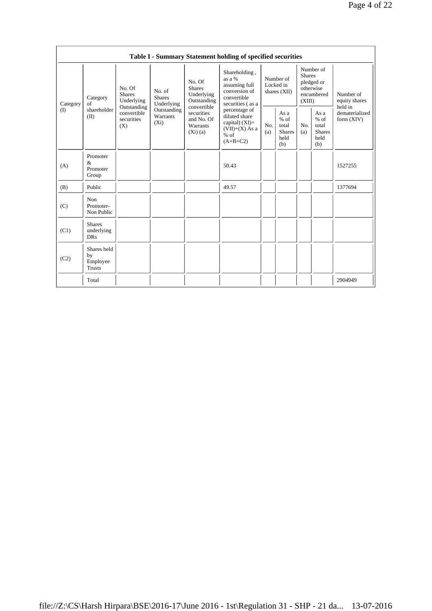|          |                                                |                                                 |                                       |                                                                                                                               | Table I - Summary Statement holding of specified securities                                    |                                        |                                                         |                                                                               |                                                       |                                           |  |
|----------|------------------------------------------------|-------------------------------------------------|---------------------------------------|-------------------------------------------------------------------------------------------------------------------------------|------------------------------------------------------------------------------------------------|----------------------------------------|---------------------------------------------------------|-------------------------------------------------------------------------------|-------------------------------------------------------|-------------------------------------------|--|
| Category | Category<br>of                                 | No. Of<br><b>Shares</b><br>Underlying           | No. of<br><b>Shares</b><br>Underlying | No. Of<br><b>Shares</b><br>Underlying<br>Outstanding<br>convertible<br>securities<br>and No. Of<br><b>Warrants</b><br>(Xi)(a) | Shareholding,<br>as a %<br>assuming full<br>conversion of<br>convertible<br>securities (as a   | Number of<br>Locked in<br>shares (XII) |                                                         | Number of<br><b>Shares</b><br>pledged or<br>otherwise<br>encumbered<br>(XIII) |                                                       | Number of<br>equity shares                |  |
| (I)      | shareholder<br>(II)                            | Outstanding<br>convertible<br>securities<br>(X) | Outstanding<br>Warrants<br>$(X_i)$    |                                                                                                                               | percentage of<br>diluted share<br>capital) $(XI)=$<br>$(VII)+(X)$ As a<br>$%$ of<br>$(A+B+C2)$ | No.<br>(a)                             | As a<br>$%$ of<br>total<br><b>Shares</b><br>held<br>(b) | No.<br>(a)                                                                    | As a<br>% of<br>total<br><b>Shares</b><br>held<br>(b) | held in<br>dematerialized<br>form $(XIV)$ |  |
| (A)      | Promoter<br>&<br>Promoter<br>Group             |                                                 |                                       |                                                                                                                               | 50.43                                                                                          |                                        |                                                         |                                                                               |                                                       | 1527255                                   |  |
| (B)      | Public                                         |                                                 |                                       |                                                                                                                               | 49.57                                                                                          |                                        |                                                         |                                                                               |                                                       | 1377694                                   |  |
| (C)      | Non<br>Promoter-<br>Non Public                 |                                                 |                                       |                                                                                                                               |                                                                                                |                                        |                                                         |                                                                               |                                                       |                                           |  |
| (C1)     | <b>Shares</b><br>underlying<br><b>DRs</b>      |                                                 |                                       |                                                                                                                               |                                                                                                |                                        |                                                         |                                                                               |                                                       |                                           |  |
| (C2)     | Shares held<br>by<br>Employee<br><b>Trusts</b> |                                                 |                                       |                                                                                                                               |                                                                                                |                                        |                                                         |                                                                               |                                                       |                                           |  |
|          | Total                                          |                                                 |                                       |                                                                                                                               |                                                                                                |                                        |                                                         |                                                                               |                                                       | 2904949                                   |  |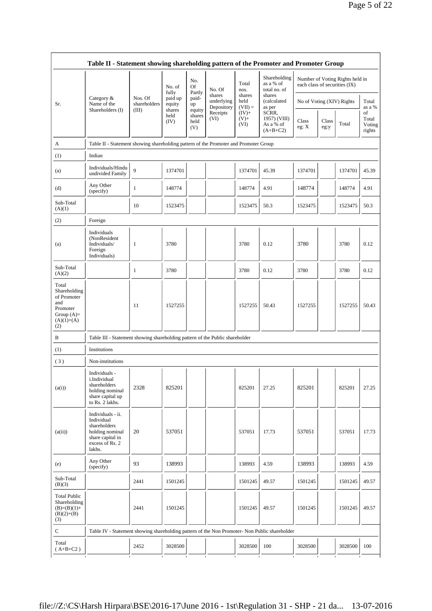|                                                                                                |                                                                                                                     |                                  | No. of<br>fully             | No.<br>Of<br>Partly   | No. Of                             | Total<br>nos.               | Shareholding<br>as a % of<br>total no. of                                                     | each class of securities (IX)                                               |  | Number of Voting Rights held in |                    |  |  |  |
|------------------------------------------------------------------------------------------------|---------------------------------------------------------------------------------------------------------------------|----------------------------------|-----------------------------|-----------------------|------------------------------------|-----------------------------|-----------------------------------------------------------------------------------------------|-----------------------------------------------------------------------------|--|---------------------------------|--------------------|--|--|--|
| Sr.                                                                                            | Category &<br>Name of the<br>Shareholders (I)                                                                       | Nos. Of<br>shareholders<br>(III) | paid up<br>equity<br>shares | paid-<br>up<br>equity | shares<br>underlying<br>Depository | shares<br>held<br>$(VII) =$ | shares<br>(calculated<br>as per                                                               | No of Voting (XIV) Rights                                                   |  |                                 | Total<br>as a $\%$ |  |  |  |
|                                                                                                |                                                                                                                     |                                  | held<br>(IV)                | shares<br>held<br>(V) | Receipts<br>(VI)                   | $(IV)$ +<br>$(V)$ +<br>(VI) | SCRR,<br>1957) (VIII)<br>As a % of<br>$(A+B+C2)$                                              | of<br>Total<br>Class<br>Class<br>Total<br>Voting<br>eg: X<br>eg:y<br>rights |  |                                 |                    |  |  |  |
| A                                                                                              | Table II - Statement showing shareholding pattern of the Promoter and Promoter Group                                |                                  |                             |                       |                                    |                             |                                                                                               |                                                                             |  |                                 |                    |  |  |  |
| (1)                                                                                            | Indian                                                                                                              |                                  |                             |                       |                                    |                             |                                                                                               |                                                                             |  |                                 |                    |  |  |  |
| (a)                                                                                            | Individuals/Hindu<br>undivided Family                                                                               | $\mathbf{Q}$                     | 1374701                     |                       |                                    | 1374701                     | 45.39                                                                                         | 1374701                                                                     |  | 1374701                         | 45.39              |  |  |  |
| (d)                                                                                            | Any Other<br>(specify)                                                                                              | $\mathbf{1}$                     | 148774                      |                       |                                    | 148774                      | 4.91                                                                                          | 148774                                                                      |  | 148774                          | 4.91               |  |  |  |
| Sub-Total<br>(A)(1)                                                                            |                                                                                                                     | 10                               | 1523475                     |                       |                                    | 1523475                     | 50.3                                                                                          | 1523475                                                                     |  | 1523475                         | 50.3               |  |  |  |
| (2)                                                                                            | Foreign                                                                                                             |                                  |                             |                       |                                    |                             |                                                                                               |                                                                             |  |                                 |                    |  |  |  |
| (a)                                                                                            | Individuals<br>(NonResident<br>Individuals/<br>Foreign<br>Individuals)                                              | $\mathbf{1}$                     | 3780                        |                       |                                    | 3780                        | 0.12                                                                                          | 3780                                                                        |  | 3780                            | 0.12               |  |  |  |
| Sub-Total<br>(A)(2)                                                                            |                                                                                                                     | $\mathbf{1}$                     | 3780                        |                       |                                    | 3780                        | 0.12                                                                                          | 3780                                                                        |  | 3780                            | 0.12               |  |  |  |
| Total<br>Shareholding<br>of Promoter<br>and<br>Promoter<br>Group $(A)=$<br>$(A)(1)+(A)$<br>(2) |                                                                                                                     | 11                               | 1527255                     |                       |                                    | 1527255                     | 50.43                                                                                         | 1527255                                                                     |  | 1527255                         | 50.43              |  |  |  |
| B                                                                                              | Table III - Statement showing shareholding pattern of the Public shareholder                                        |                                  |                             |                       |                                    |                             |                                                                                               |                                                                             |  |                                 |                    |  |  |  |
| (1)                                                                                            | Institutions                                                                                                        |                                  |                             |                       |                                    |                             |                                                                                               |                                                                             |  |                                 |                    |  |  |  |
| (3)                                                                                            | Non-institutions                                                                                                    |                                  |                             |                       |                                    |                             |                                                                                               |                                                                             |  |                                 |                    |  |  |  |
| (a(i))                                                                                         | Individuals -<br>i.Individual<br>shareholders<br>holding nominal<br>share capital up<br>to Rs. 2 lakhs.             | 2328                             | 825201                      |                       |                                    | 825201                      | 27.25                                                                                         | 825201                                                                      |  | 825201                          | 27.25              |  |  |  |
| (a(ii))                                                                                        | Individuals - ii.<br>Individual<br>shareholders<br>holding nominal<br>share capital in<br>excess of Rs. 2<br>lakhs. | 20                               | 537051                      |                       |                                    | 537051                      | 17.73                                                                                         | 537051                                                                      |  | 537051                          | 17.73              |  |  |  |
| (e)                                                                                            | Any Other<br>(specify)                                                                                              | 93                               | 138993                      |                       |                                    | 138993                      | 4.59                                                                                          | 138993                                                                      |  | 138993                          | 4.59               |  |  |  |
| Sub-Total<br>(B)(3)                                                                            |                                                                                                                     | 2441                             | 1501245                     |                       |                                    | 1501245                     | 49.57                                                                                         | 1501245                                                                     |  | 1501245                         | 49.57              |  |  |  |
| <b>Total Public</b><br>Shareholding<br>$(B)=(B)(1)+$<br>$(B)(2)+(B)$<br>(3)                    |                                                                                                                     | 2441                             | 1501245                     |                       |                                    | 1501245                     | 49.57                                                                                         | 1501245                                                                     |  | 1501245                         | 49.57              |  |  |  |
| ${\bf C}$                                                                                      |                                                                                                                     |                                  |                             |                       |                                    |                             | Table IV - Statement showing shareholding pattern of the Non Promoter- Non Public shareholder |                                                                             |  |                                 |                    |  |  |  |
|                                                                                                |                                                                                                                     |                                  |                             |                       |                                    |                             |                                                                                               |                                                                             |  |                                 |                    |  |  |  |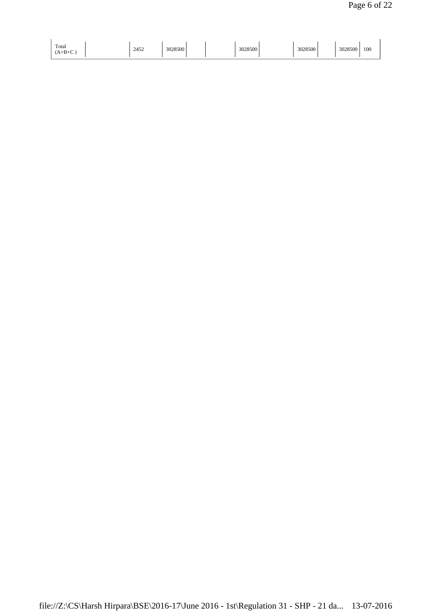| Total<br>$(A+B+C)$ | 2452 | 3028500 |  | 3028500 | 3028500 | 2020500<br><b>JULOJU</b> | 100 |
|--------------------|------|---------|--|---------|---------|--------------------------|-----|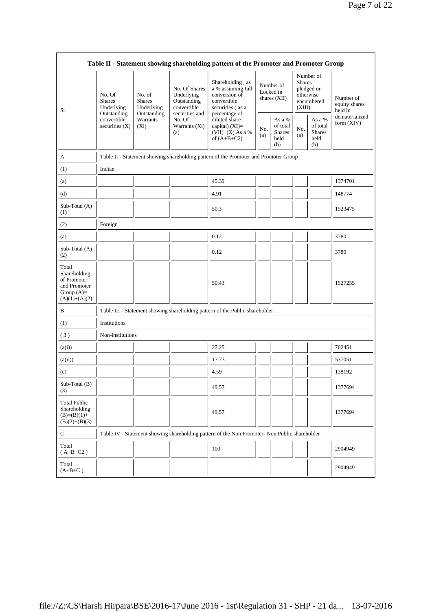| Table II - Statement showing shareholding pattern of the Promoter and Promoter Group    |                                                      |                                                      |                                                                                                            |                                                                                                            |            |                                                    |                         |                                                    |                                       |
|-----------------------------------------------------------------------------------------|------------------------------------------------------|------------------------------------------------------|------------------------------------------------------------------------------------------------------------|------------------------------------------------------------------------------------------------------------|------------|----------------------------------------------------|-------------------------|----------------------------------------------------|---------------------------------------|
| Sr.                                                                                     | No. Of<br><b>Shares</b><br>Underlying<br>Outstanding | No. of<br><b>Shares</b><br>Underlying<br>Outstanding | No. Of Shares<br>Underlying<br>Outstanding<br>convertible<br>securities and                                | Shareholding, as<br>a % assuming full<br>conversion of<br>convertible<br>securities (as a<br>percentage of |            | Number of<br>Locked in<br>shares $(XII)$           | <b>Shares</b><br>(XIII) | Number of<br>pledged or<br>otherwise<br>encumbered | Number of<br>equity shares<br>held in |
|                                                                                         | convertible<br>securities $(X)$                      | Warrants<br>$(X_i)$                                  | No. Of<br>diluted share<br>Warrants (Xi)<br>capital) $(XI)=$<br>$(VII)+(X)$ As a %<br>(a)<br>of $(A+B+C2)$ |                                                                                                            | No.<br>(a) | As a %<br>of total<br><b>Shares</b><br>held<br>(b) | No.<br>(a)              | As a %<br>of total<br><b>Shares</b><br>held<br>(b) | dematerialized<br>form $(XIV)$        |
| A                                                                                       |                                                      |                                                      |                                                                                                            | Table II - Statement showing shareholding pattern of the Promoter and Promoter Group                       |            |                                                    |                         |                                                    |                                       |
| (1)                                                                                     | Indian                                               |                                                      |                                                                                                            |                                                                                                            |            |                                                    |                         |                                                    |                                       |
| (a)                                                                                     |                                                      |                                                      |                                                                                                            | 45.39                                                                                                      |            |                                                    |                         |                                                    | 1374701                               |
| (d)                                                                                     |                                                      |                                                      |                                                                                                            | 4.91                                                                                                       |            |                                                    |                         |                                                    | 148774                                |
| $Sub-Total(A)$<br>(1)                                                                   |                                                      |                                                      |                                                                                                            | 50.3                                                                                                       |            |                                                    |                         |                                                    | 1523475                               |
| (2)                                                                                     | Foreign                                              |                                                      |                                                                                                            |                                                                                                            |            |                                                    |                         |                                                    |                                       |
| (a)                                                                                     |                                                      |                                                      |                                                                                                            | 0.12                                                                                                       |            |                                                    |                         |                                                    | 3780                                  |
| Sub-Total (A)<br>(2)                                                                    |                                                      |                                                      |                                                                                                            | 0.12                                                                                                       |            |                                                    |                         |                                                    | 3780                                  |
| Total<br>Shareholding<br>of Promoter<br>and Promoter<br>Group $(A)=$<br>$(A)(1)+(A)(2)$ |                                                      |                                                      |                                                                                                            | 50.43                                                                                                      |            |                                                    |                         |                                                    | 1527255                               |
| B                                                                                       |                                                      |                                                      |                                                                                                            | Table III - Statement showing shareholding pattern of the Public shareholder                               |            |                                                    |                         |                                                    |                                       |
| (1)                                                                                     | Institutions                                         |                                                      |                                                                                                            |                                                                                                            |            |                                                    |                         |                                                    |                                       |
| (3)                                                                                     | Non-institutions                                     |                                                      |                                                                                                            |                                                                                                            |            |                                                    |                         |                                                    |                                       |
| (a(i))                                                                                  |                                                      |                                                      |                                                                                                            | 27.25                                                                                                      |            |                                                    |                         |                                                    | 702451                                |
| (a(ii))                                                                                 |                                                      |                                                      |                                                                                                            | 17.73                                                                                                      |            |                                                    |                         |                                                    | 537051                                |
| (e)                                                                                     |                                                      |                                                      |                                                                                                            | 4.59                                                                                                       |            |                                                    |                         |                                                    | 138192                                |
| Sub-Total (B)<br>(3)                                                                    |                                                      |                                                      |                                                                                                            | 49.57                                                                                                      |            |                                                    |                         |                                                    | 1377694                               |
| <b>Total Public</b><br>Shareholding<br>$(B)=(B)(1)+$<br>$(B)(2)+(B)(3)$                 |                                                      |                                                      |                                                                                                            | 49.57                                                                                                      |            |                                                    |                         |                                                    | 1377694                               |
| $\mathbf C$                                                                             |                                                      |                                                      |                                                                                                            | Table IV - Statement showing shareholding pattern of the Non Promoter- Non Public shareholder              |            |                                                    |                         |                                                    |                                       |
| Total<br>$(\;A{+}B{+}C2\;)$                                                             |                                                      |                                                      |                                                                                                            | 100                                                                                                        |            |                                                    |                         |                                                    | 2904949                               |
| Total<br>$(A+B+C)$                                                                      |                                                      |                                                      |                                                                                                            |                                                                                                            |            |                                                    |                         |                                                    | 2904949                               |

<u> 1980 - Johann Barn, fransk politik (f. 1980)</u>

 $\overline{\phantom{0}}$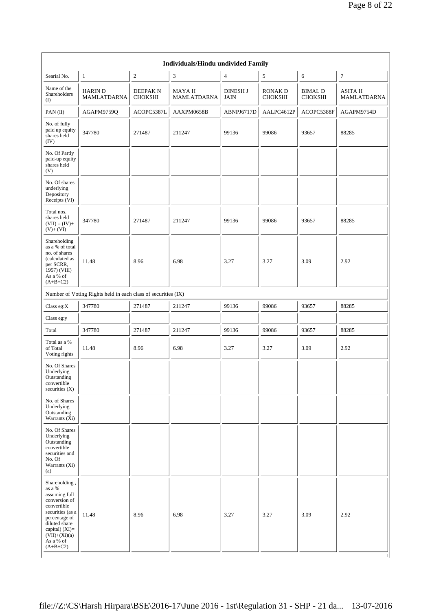|                                                                                                                                                                                                | <b>Individuals/Hindu undivided Family</b>                     |                                  |                                    |                                |                                 |                                  |                        |  |  |  |  |
|------------------------------------------------------------------------------------------------------------------------------------------------------------------------------------------------|---------------------------------------------------------------|----------------------------------|------------------------------------|--------------------------------|---------------------------------|----------------------------------|------------------------|--|--|--|--|
| Searial No.                                                                                                                                                                                    | $\mathbf{1}$                                                  | 2                                | 3                                  | $\overline{4}$                 | 5                               | 6                                | $\tau$                 |  |  |  |  |
| Name of the<br>Shareholders<br>(I)                                                                                                                                                             | <b>HARIND</b><br><b>MAMLATDARNA</b>                           | <b>DEEPAKN</b><br><b>CHOKSHI</b> | <b>MAYAH</b><br><b>MAMLATDARNA</b> | <b>DINESH J</b><br><b>JAIN</b> | <b>RONAKD</b><br><b>CHOKSHI</b> | <b>BIMAL D</b><br><b>CHOKSHI</b> | ASITA H<br>MAMLATDARNA |  |  |  |  |
| PAN(II)                                                                                                                                                                                        | AGAPM9759Q                                                    | ACOPC5387L                       | AAXPM0658B                         | ABNPJ6717D                     | AALPC4612P                      | ACOPC5388F                       | AGAPM9754D             |  |  |  |  |
| No. of fully<br>paid up equity<br>shares held<br>(IV)                                                                                                                                          | 347780                                                        | 271487                           | 211247                             | 99136                          | 99086                           | 93657                            | 88285                  |  |  |  |  |
| No. Of Partly<br>paid-up equity<br>shares held<br>(V)                                                                                                                                          |                                                               |                                  |                                    |                                |                                 |                                  |                        |  |  |  |  |
| No. Of shares<br>underlying<br>Depository<br>Receipts (VI)                                                                                                                                     |                                                               |                                  |                                    |                                |                                 |                                  |                        |  |  |  |  |
| Total nos.<br>shares held<br>$(VII) = (IV) +$<br>$(V)+(VI)$                                                                                                                                    | 347780                                                        | 271487                           | 211247                             | 99136                          | 99086                           | 93657                            | 88285                  |  |  |  |  |
| Shareholding<br>as a % of total<br>no. of shares<br>(calculated as<br>per SCRR,<br>1957) (VIII)<br>As a % of<br>$(A+B+C2)$                                                                     | 11.48                                                         | 8.96                             | 6.98                               | 3.27                           | 3.27                            | 3.09                             | 2.92                   |  |  |  |  |
|                                                                                                                                                                                                | Number of Voting Rights held in each class of securities (IX) |                                  |                                    |                                |                                 |                                  |                        |  |  |  |  |
| Class eg:X                                                                                                                                                                                     | 347780                                                        | 271487                           | 211247                             | 99136                          | 99086                           | 93657                            | 88285                  |  |  |  |  |
| Class eg:y                                                                                                                                                                                     |                                                               |                                  |                                    |                                |                                 |                                  |                        |  |  |  |  |
| Total                                                                                                                                                                                          | 347780                                                        | 271487                           | 211247                             | 99136                          | 99086                           | 93657                            | 88285                  |  |  |  |  |
| Total as a %<br>of Total<br>Voting rights                                                                                                                                                      | 11.48                                                         | 8.96                             | 6.98                               | 3.27                           | 3.27                            | 3.09                             | 2.92                   |  |  |  |  |
| No. Of Shares<br>Underlying<br>Outstanding<br>convertible<br>securities $(X)$                                                                                                                  |                                                               |                                  |                                    |                                |                                 |                                  |                        |  |  |  |  |
| No. of Shares<br>Underlying<br>Outstanding<br>Warrants $(X_i)$                                                                                                                                 |                                                               |                                  |                                    |                                |                                 |                                  |                        |  |  |  |  |
| No. Of Shares<br>Underlying<br>Outstanding<br>convertible<br>securities and<br>No. Of<br>Warrants (Xi)<br>(a)                                                                                  |                                                               |                                  |                                    |                                |                                 |                                  |                        |  |  |  |  |
| Shareholding,<br>as a %<br>assuming full<br>conversion of<br>convertible<br>securities (as a<br>percentage of<br>diluted share<br>capital) (XI)=<br>$(VII)+(Xi)(a)$<br>As a % of<br>$(A+B+C2)$ | 11.48                                                         | 8.96                             | 6.98                               | 3.27                           | 3.27                            | 3.09                             | 2.92<br>П              |  |  |  |  |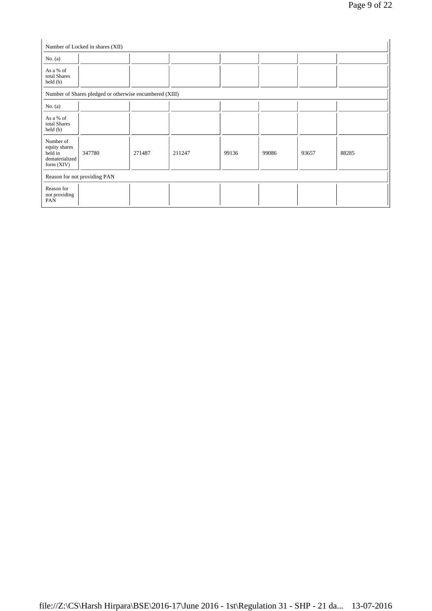|                                                                         | Number of Locked in shares (XII)                        |        |        |       |       |       |       |  |  |
|-------------------------------------------------------------------------|---------------------------------------------------------|--------|--------|-------|-------|-------|-------|--|--|
| No. $(a)$                                                               |                                                         |        |        |       |       |       |       |  |  |
| As a % of<br>total Shares<br>$\text{held}(\text{b})$                    |                                                         |        |        |       |       |       |       |  |  |
|                                                                         | Number of Shares pledged or otherwise encumbered (XIII) |        |        |       |       |       |       |  |  |
| No. $(a)$                                                               |                                                         |        |        |       |       |       |       |  |  |
| As a % of<br>total Shares<br>held(b)                                    |                                                         |        |        |       |       |       |       |  |  |
| Number of<br>equity shares<br>held in<br>dematerialized<br>form $(XIV)$ | 347780                                                  | 271487 | 211247 | 99136 | 99086 | 93657 | 88285 |  |  |
| Reason for not providing PAN                                            |                                                         |        |        |       |       |       |       |  |  |
| Reason for<br>not providing<br>PAN                                      |                                                         |        |        |       |       |       |       |  |  |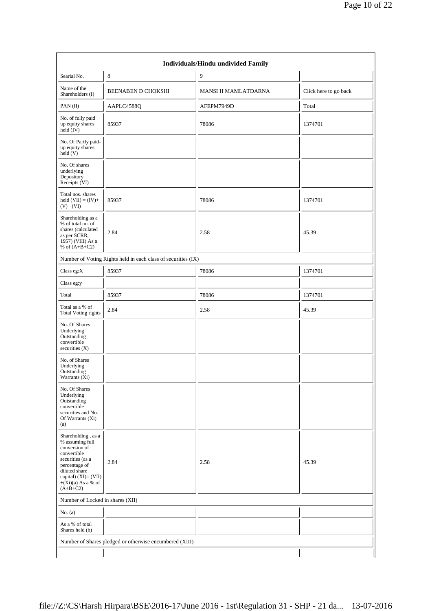| Searial No.                                                                                                                                                                                | $\,8\,$                                                       | 9                   |                       |
|--------------------------------------------------------------------------------------------------------------------------------------------------------------------------------------------|---------------------------------------------------------------|---------------------|-----------------------|
| Name of the<br>Shareholders (I)                                                                                                                                                            | BEENABEN D CHOKSHI                                            | MANSI H MAMLATDARNA | Click here to go back |
| PAN(II)                                                                                                                                                                                    | AAPLC4588Q                                                    | AFEPM7949D          | Total                 |
| No. of fully paid<br>up equity shares<br>$\text{held} (IV)$                                                                                                                                | 85937                                                         | 78086               | 1374701               |
| No. Of Partly paid-<br>up equity shares<br>$\text{held} (V)$                                                                                                                               |                                                               |                     |                       |
| No. Of shares<br>underlying<br>Depository<br>Receipts (VI)                                                                                                                                 |                                                               |                     |                       |
| Total nos. shares<br>held $(VII) = (IV) +$<br>$(V)+(VI)$                                                                                                                                   | 85937                                                         | 78086               | 1374701               |
| Shareholding as a<br>% of total no. of<br>shares (calculated<br>as per SCRR,<br>1957) (VIII) As a<br>% of $(A+B+C2)$                                                                       | 2.84                                                          | 2.58                | 45.39                 |
|                                                                                                                                                                                            | Number of Voting Rights held in each class of securities (IX) |                     |                       |
| Class eg: $X$                                                                                                                                                                              | 85937                                                         | 78086               | 1374701               |
| Class eg:y                                                                                                                                                                                 |                                                               |                     |                       |
| Total                                                                                                                                                                                      | 85937                                                         | 78086               | 1374701               |
| Total as a % of<br>Total Voting rights                                                                                                                                                     | 2.84                                                          | 2.58                | 45.39                 |
| No. Of Shares<br>Underlying<br>Outstanding<br>convertible<br>securities (X)                                                                                                                |                                                               |                     |                       |
| No. of Shares<br>Underlying<br>Outstanding<br>Warrants (Xi)                                                                                                                                |                                                               |                     |                       |
| No. Of Shares<br>Underlying<br>Outstanding<br>convertible<br>securities and No.<br>Of Warrants (Xi)<br>(a)                                                                                 |                                                               |                     |                       |
| Shareholding , as a<br>% assuming full<br>conversion of<br>convertible<br>securities (as a<br>percentage of<br>diluted share<br>capital) (XI)= (VII)<br>$+(Xi)(a)$ As a % of<br>$(A+B+C2)$ | 2.84                                                          | 2.58                | 45.39                 |
| Number of Locked in shares (XII)                                                                                                                                                           |                                                               |                     |                       |
| No. $(a)$                                                                                                                                                                                  |                                                               |                     |                       |
| As a % of total<br>Shares held (b)                                                                                                                                                         |                                                               |                     |                       |
|                                                                                                                                                                                            | Number of Shares pledged or otherwise encumbered (XIII)       |                     |                       |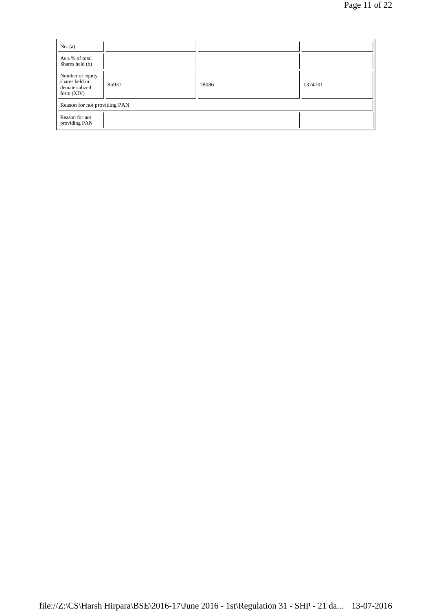| No. $(a)$                                                            |       |       |         |
|----------------------------------------------------------------------|-------|-------|---------|
| As a % of total<br>Shares held (b)                                   |       |       |         |
| Number of equity<br>shares held in<br>dematerialized<br>form $(XIV)$ | 85937 | 78086 | 1374701 |
| Reason for not providing PAN                                         |       |       |         |
| Reason for not<br>providing PAN                                      |       |       |         |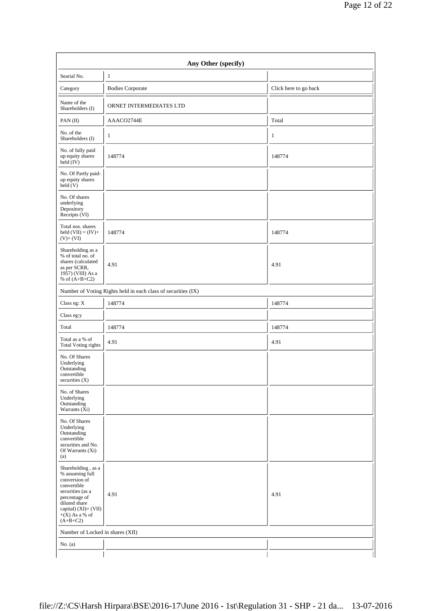| Any Other (specify)                                                                                                                                                                      |                                                               |                       |  |  |  |  |  |  |  |  |
|------------------------------------------------------------------------------------------------------------------------------------------------------------------------------------------|---------------------------------------------------------------|-----------------------|--|--|--|--|--|--|--|--|
| Searial No.                                                                                                                                                                              | $\mathbf{1}$                                                  |                       |  |  |  |  |  |  |  |  |
| Category                                                                                                                                                                                 | <b>Bodies Corporate</b>                                       | Click here to go back |  |  |  |  |  |  |  |  |
| Name of the<br>Shareholders (I)                                                                                                                                                          | ORNET INTERMEDIATES LTD                                       |                       |  |  |  |  |  |  |  |  |
| PAN(II)                                                                                                                                                                                  | AAACO2744E                                                    | Total                 |  |  |  |  |  |  |  |  |
| No. of the<br>Shareholders (I)                                                                                                                                                           | 1                                                             | 1                     |  |  |  |  |  |  |  |  |
| No. of fully paid<br>up equity shares<br>held $(IV)$                                                                                                                                     | 148774                                                        | 148774                |  |  |  |  |  |  |  |  |
| No. Of Partly paid-<br>up equity shares<br>held(V)                                                                                                                                       |                                                               |                       |  |  |  |  |  |  |  |  |
| No. Of shares<br>underlying<br>Depository<br>Receipts (VI)                                                                                                                               |                                                               |                       |  |  |  |  |  |  |  |  |
| Total nos. shares<br>held $(VII) = (IV) +$<br>$(V)+(VI)$                                                                                                                                 | 148774                                                        | 148774                |  |  |  |  |  |  |  |  |
| Shareholding as a<br>% of total no. of<br>shares (calculated<br>as per SCRR,<br>1957) (VIII) As a<br>% of $(A+B+C2)$                                                                     | 4.91                                                          | 4.91                  |  |  |  |  |  |  |  |  |
|                                                                                                                                                                                          | Number of Voting Rights held in each class of securities (IX) |                       |  |  |  |  |  |  |  |  |
| Class eg: X                                                                                                                                                                              | 148774                                                        | 148774                |  |  |  |  |  |  |  |  |
| Class eg:y                                                                                                                                                                               |                                                               |                       |  |  |  |  |  |  |  |  |
| Total                                                                                                                                                                                    | 148774                                                        | 148774                |  |  |  |  |  |  |  |  |
| Total as a % of<br><b>Total Voting rights</b>                                                                                                                                            | 4.91                                                          | 4.91                  |  |  |  |  |  |  |  |  |
| No. Of Shares<br>Underlying<br>Outstanding<br>convertible<br>securities $(X)$                                                                                                            |                                                               |                       |  |  |  |  |  |  |  |  |
| No. of Shares<br>Underlying<br>Outstanding<br>Warrants (Xi)                                                                                                                              |                                                               |                       |  |  |  |  |  |  |  |  |
| No. Of Shares<br>Underlying<br>Outstanding<br>convertible<br>securities and No.<br>Of Warrants (Xi)<br>(a)                                                                               |                                                               |                       |  |  |  |  |  |  |  |  |
| Shareholding, as a<br>% assuming full<br>conversion of<br>convertible<br>securities (as a<br>percentage of<br>diluted share<br>capital) $(XI) = (VII)$<br>$+(X)$ As a % of<br>$(A+B+C2)$ | 4.91                                                          | 4.91                  |  |  |  |  |  |  |  |  |
| Number of Locked in shares (XII)                                                                                                                                                         |                                                               |                       |  |  |  |  |  |  |  |  |
| No. (a)                                                                                                                                                                                  |                                                               |                       |  |  |  |  |  |  |  |  |
|                                                                                                                                                                                          |                                                               |                       |  |  |  |  |  |  |  |  |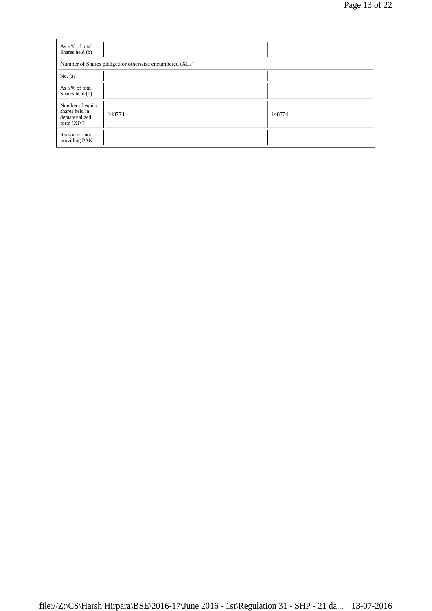| As a % of total<br>Shares held (b)                                   |                                                         |        |
|----------------------------------------------------------------------|---------------------------------------------------------|--------|
|                                                                      | Number of Shares pledged or otherwise encumbered (XIII) |        |
| No. $(a)$                                                            |                                                         |        |
| As a % of total<br>Shares held (b)                                   |                                                         |        |
| Number of equity<br>shares held in<br>dematerialized<br>form $(XIV)$ | 148774                                                  | 148774 |
| Reason for not<br>providing PAN                                      |                                                         |        |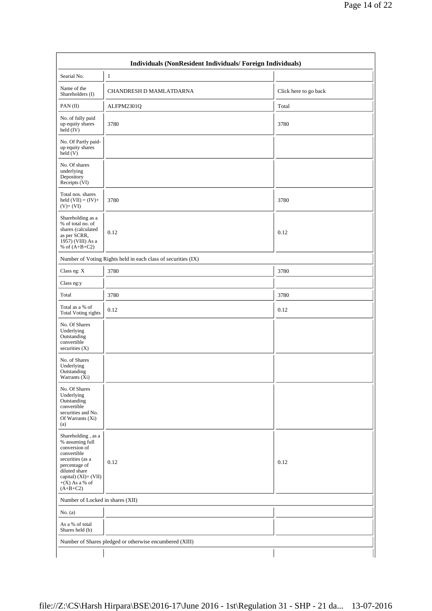| Name of the<br>Shareholders (I)                                                                                                                                                       | CHANDRESH D MAMLATDARNA                                       | Click here to go back |  |
|---------------------------------------------------------------------------------------------------------------------------------------------------------------------------------------|---------------------------------------------------------------|-----------------------|--|
| PAN(II)                                                                                                                                                                               | ALFPM2301Q                                                    | Total                 |  |
| No. of fully paid<br>up equity shares<br>held (IV)                                                                                                                                    | 3780                                                          | 3780                  |  |
| No. Of Partly paid-<br>up equity shares<br>$\text{held} (V)$                                                                                                                          |                                                               |                       |  |
| No. Of shares<br>underlying<br>Depository<br>Receipts (VI)                                                                                                                            |                                                               |                       |  |
| Total nos. shares<br>held $(VII) = (IV) +$<br>$(V)+(VI)$                                                                                                                              | 3780                                                          | 3780                  |  |
| Shareholding as a<br>% of total no. of<br>shares (calculated<br>as per SCRR,<br>1957) (VIII) As a<br>% of $(A+B+C2)$                                                                  | 0.12                                                          | 0.12                  |  |
|                                                                                                                                                                                       | Number of Voting Rights held in each class of securities (IX) |                       |  |
| Class eg: X                                                                                                                                                                           | 3780                                                          | 3780                  |  |
| Class eg:y                                                                                                                                                                            |                                                               |                       |  |
| Total                                                                                                                                                                                 | 3780                                                          | 3780                  |  |
| Total as a % of<br>Total Voting rights                                                                                                                                                | 0.12                                                          | 0.12                  |  |
| No. Of Shares<br>Underlying<br>Outstanding<br>convertible<br>securities $(X)$                                                                                                         |                                                               |                       |  |
| No. of Shares<br>Underlying<br>Outstanding<br>Warrants (Xi)                                                                                                                           |                                                               |                       |  |
| No. Of Shares<br>Underlying<br>Outstanding<br>convertible<br>securities and No.<br>Of Warrants $(X_i)$<br>(a)                                                                         |                                                               |                       |  |
| Shareholding, as a<br>% assuming full<br>conversion of<br>convertible<br>securities (as a<br>percentage of<br>diluted share<br>capital) (XI)= (VII)<br>$+(X)$ As a % of<br>$(A+B+C2)$ | 0.12                                                          | 0.12                  |  |
| Number of Locked in shares (XII)                                                                                                                                                      |                                                               |                       |  |
| No. $(a)$                                                                                                                                                                             |                                                               |                       |  |
| As a % of total<br>Shares held (b)                                                                                                                                                    |                                                               |                       |  |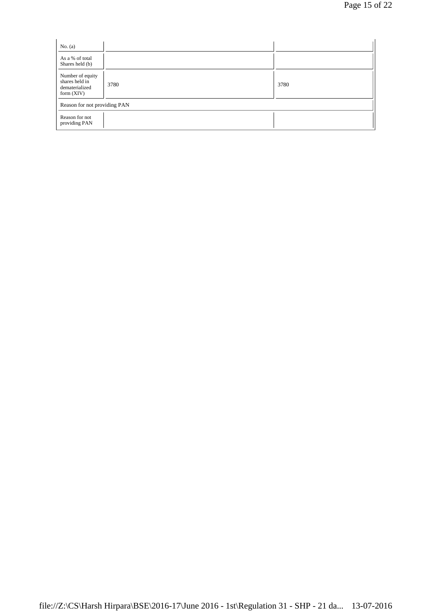| No. $(a)$                                                            |      |      |
|----------------------------------------------------------------------|------|------|
| As a % of total<br>Shares held (b)                                   |      |      |
| Number of equity<br>shares held in<br>dematerialized<br>form $(XIV)$ | 3780 | 3780 |
| Reason for not providing PAN                                         |      |      |
| Reason for not<br>providing PAN                                      |      |      |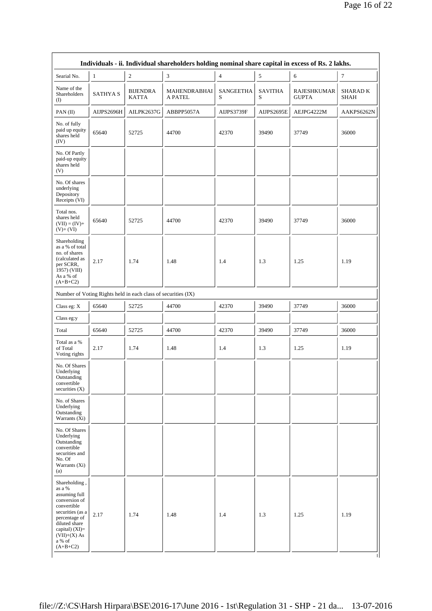|                                                                                                                                                                                              |                |                                                               | Individuals - ii. Individual shareholders holding nominal share capital in excess of Rs. 2 lakhs. |                       |                     |                                    |                         |
|----------------------------------------------------------------------------------------------------------------------------------------------------------------------------------------------|----------------|---------------------------------------------------------------|---------------------------------------------------------------------------------------------------|-----------------------|---------------------|------------------------------------|-------------------------|
| Searial No.                                                                                                                                                                                  | $\mathbf{1}$   | $\sqrt{2}$                                                    | 3                                                                                                 | $\overline{4}$        | 5                   | 6                                  | $\boldsymbol{7}$        |
| Name of the<br>Shareholders<br>$($ I                                                                                                                                                         | <b>SATHYAS</b> | <b>BIJENDRA</b><br><b>KATTA</b>                               | MAHENDRABHAI<br>A PATEL                                                                           | <b>SANGEETHA</b><br>S | <b>SAVITHA</b><br>S | <b>RAJESHKUMAR</b><br><b>GUPTA</b> | <b>SHARAD K</b><br>SHAH |
| PAN(II)                                                                                                                                                                                      | AIJPS2696H     | AILPK2637G                                                    | ABBPP5057A                                                                                        | AIJPS3739F            | AIJPS2695E          | AEJPG4222M                         | AAKPS6262N              |
| No. of fully<br>paid up equity<br>shares held<br>(IV)                                                                                                                                        | 65640          | 52725                                                         | 44700                                                                                             | 42370                 | 39490               | 37749                              | 36000                   |
| No. Of Partly<br>paid-up equity<br>shares held<br>(V)                                                                                                                                        |                |                                                               |                                                                                                   |                       |                     |                                    |                         |
| No. Of shares<br>underlying<br>Depository<br>Receipts (VI)                                                                                                                                   |                |                                                               |                                                                                                   |                       |                     |                                    |                         |
| Total nos.<br>shares held<br>$(VII) = (IV) +$<br>$(V)+(VI)$                                                                                                                                  | 65640          | 52725                                                         | 44700                                                                                             | 42370                 | 39490               | 37749                              | 36000                   |
| Shareholding<br>as a % of total<br>no. of shares<br>(calculated as<br>per SCRR,<br>1957) (VIII)<br>As a % of<br>$(A+B+C2)$                                                                   | 2.17           | 1.74                                                          | 1.48                                                                                              | 1.4                   | 1.3                 | 1.25                               | 1.19                    |
|                                                                                                                                                                                              |                | Number of Voting Rights held in each class of securities (IX) |                                                                                                   |                       |                     |                                    |                         |
| Class eg: X                                                                                                                                                                                  | 65640          | 52725                                                         | 44700                                                                                             | 42370                 | 39490               | 37749                              | 36000                   |
| Class eg:y                                                                                                                                                                                   |                |                                                               |                                                                                                   |                       |                     |                                    |                         |
| Total                                                                                                                                                                                        | 65640          | 52725                                                         | 44700                                                                                             | 42370                 | 39490               | 37749                              | 36000                   |
| Total as a %<br>of Total<br>Voting rights                                                                                                                                                    | 2.17           | 1.74                                                          | 1.48                                                                                              | 1.4                   | 1.3                 | 1.25                               | 1.19                    |
| No. Of Shares<br>Underlying<br>Outstanding<br>convertible<br>securities $(X)$                                                                                                                |                |                                                               |                                                                                                   |                       |                     |                                    |                         |
| No. of Shares<br>Underlying<br>Outstanding<br>Warrants $(X_i)$                                                                                                                               |                |                                                               |                                                                                                   |                       |                     |                                    |                         |
| No. Of Shares<br>Underlying<br>Outstanding<br>convertible<br>securities and<br>No. Of<br>Warrants (Xi)<br>(a)                                                                                |                |                                                               |                                                                                                   |                       |                     |                                    |                         |
| Shareholding,<br>as a %<br>assuming full<br>conversion of<br>convertible<br>securities (as a<br>percentage of<br>diluted share<br>capital) $(XI)=$<br>$(VII)+(X)$ As<br>a % of<br>$(A+B+C2)$ | 2.17           | 1.74                                                          | 1.48                                                                                              | 1.4                   | 1.3                 | 1.25                               | 1.19                    |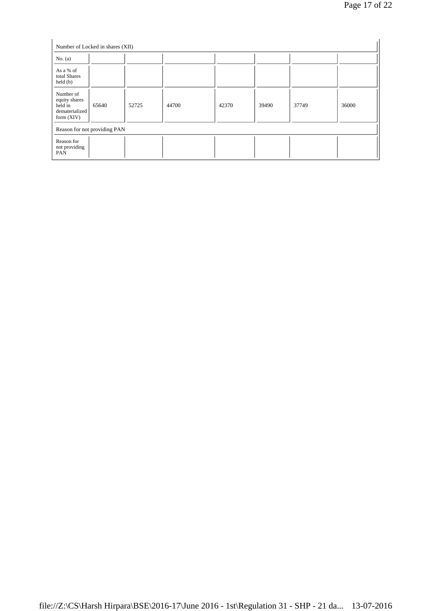|                                                                         | Number of Locked in shares (XII) |       |       |       |       |       |       |
|-------------------------------------------------------------------------|----------------------------------|-------|-------|-------|-------|-------|-------|
| No. $(a)$                                                               |                                  |       |       |       |       |       |       |
| As a % of<br>total Shares<br>$\text{held}(\text{b})$                    |                                  |       |       |       |       |       |       |
| Number of<br>equity shares<br>held in<br>dematerialized<br>form $(XIV)$ | 65640                            | 52725 | 44700 | 42370 | 39490 | 37749 | 36000 |
|                                                                         | Reason for not providing PAN     |       |       |       |       |       |       |
| Reason for<br>not providing<br>PAN                                      |                                  |       |       |       |       |       |       |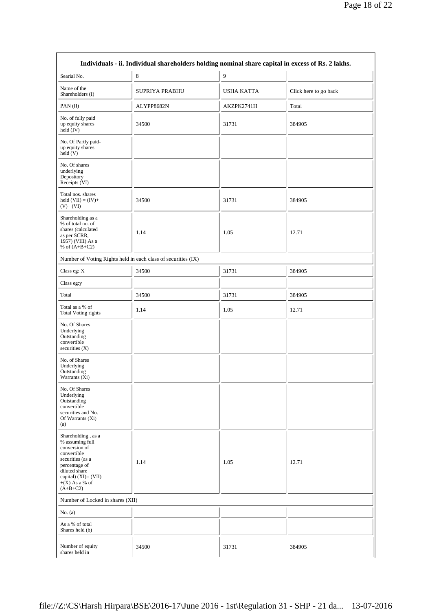|                                                                                                                                                                                        | Individuals - ii. Individual shareholders holding nominal share capital in excess of Rs. 2 lakhs. |                   |                       |
|----------------------------------------------------------------------------------------------------------------------------------------------------------------------------------------|---------------------------------------------------------------------------------------------------|-------------------|-----------------------|
| Searial No.                                                                                                                                                                            | 8                                                                                                 | 9                 |                       |
| Name of the<br>Shareholders (I)                                                                                                                                                        | <b>SUPRIYA PRABHU</b>                                                                             | <b>USHA KATTA</b> | Click here to go back |
| PAN(II)                                                                                                                                                                                | ALYPP8682N                                                                                        | AKZPK2741H        | Total                 |
| No. of fully paid<br>up equity shares<br>held (IV)                                                                                                                                     | 34500                                                                                             | 31731             | 384905                |
| No. Of Partly paid-<br>up equity shares<br>held(V)                                                                                                                                     |                                                                                                   |                   |                       |
| No. Of shares<br>underlying<br>Depository<br>Receipts (VI)                                                                                                                             |                                                                                                   |                   |                       |
| Total nos. shares<br>held $(VII) = (IV) +$<br>$(V)+(VI)$                                                                                                                               | 34500                                                                                             | 31731             | 384905                |
| Shareholding as a<br>% of total no. of<br>shares (calculated<br>as per SCRR,<br>1957) (VIII) As a<br>% of $(A+B+C2)$                                                                   | 1.14                                                                                              | 1.05              | 12.71                 |
|                                                                                                                                                                                        | Number of Voting Rights held in each class of securities (IX)                                     |                   |                       |
| Class eg: X                                                                                                                                                                            | 34500                                                                                             | 31731             | 384905                |
| Class eg:y                                                                                                                                                                             |                                                                                                   |                   |                       |
| Total                                                                                                                                                                                  | 34500                                                                                             | 31731             | 384905                |
| Total as a % of<br><b>Total Voting rights</b>                                                                                                                                          | 1.14                                                                                              | 1.05              | 12.71                 |
| No. Of Shares<br>Underlying<br>Outstanding<br>convertible<br>securities (X)                                                                                                            |                                                                                                   |                   |                       |
| No. of Shares<br>Underlying<br>Outstanding<br>Warrants (Xi)                                                                                                                            |                                                                                                   |                   |                       |
| No. Of Shares<br>Underlying<br>Outstanding<br>convertible<br>securities and No.<br>Of Warrants (Xi)<br>(a)                                                                             |                                                                                                   |                   |                       |
| Shareholding, as a<br>% assuming full<br>conversion of<br>convertible<br>securities (as a<br>percentage of<br>diluted share<br>capital) $(XI)=(VII)$<br>$+(X)$ As a % of<br>$(A+B+C2)$ | 1.14                                                                                              | 1.05              | 12.71                 |
| Number of Locked in shares (XII)                                                                                                                                                       |                                                                                                   |                   |                       |
| No. (a)                                                                                                                                                                                |                                                                                                   |                   |                       |
| As a % of total<br>Shares held (b)                                                                                                                                                     |                                                                                                   |                   |                       |
| Number of equity<br>shares held in                                                                                                                                                     | 34500                                                                                             | 31731             | 384905                |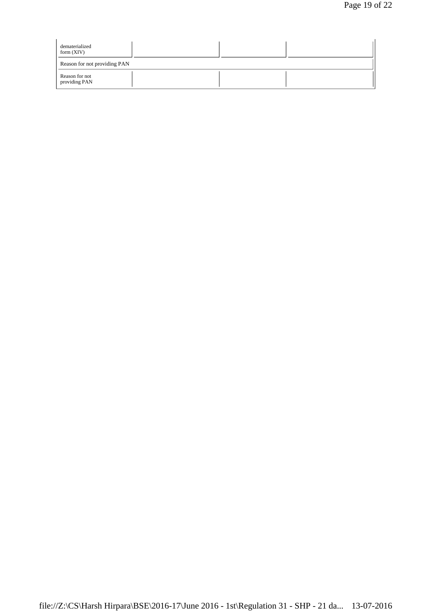| dematerialized<br>form $(XIV)$  |  |  |
|---------------------------------|--|--|
| Reason for not providing PAN    |  |  |
| Reason for not<br>providing PAN |  |  |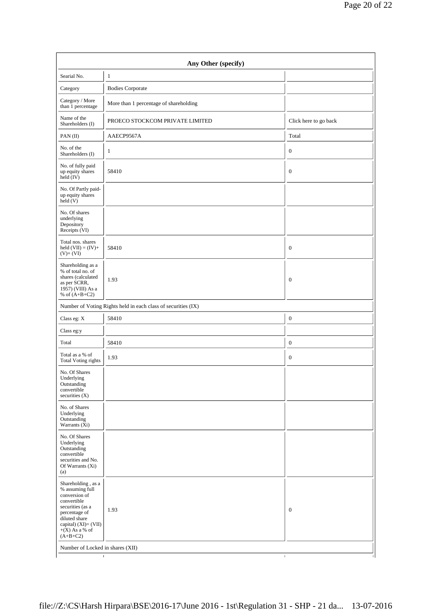| Searial No.                                                                                                                                                                               | $\mathbf{1}$                                                  |                       |
|-------------------------------------------------------------------------------------------------------------------------------------------------------------------------------------------|---------------------------------------------------------------|-----------------------|
| Category                                                                                                                                                                                  | <b>Bodies Corporate</b>                                       |                       |
| Category / More<br>than 1 percentage                                                                                                                                                      | More than 1 percentage of shareholding                        |                       |
| Name of the<br>Shareholders (I)                                                                                                                                                           | PROECO STOCKCOM PRIVATE LIMITED                               | Click here to go back |
| PAN(II)                                                                                                                                                                                   | AAECP9567A                                                    | Total                 |
| No. of the<br>Shareholders (I)                                                                                                                                                            | $\mathbf{1}$                                                  | $\boldsymbol{0}$      |
| No. of fully paid<br>up equity shares<br>held(TV)                                                                                                                                         | 58410                                                         | $\boldsymbol{0}$      |
| No. Of Partly paid-<br>up equity shares<br>$\text{held}(V)$                                                                                                                               |                                                               |                       |
| No. Of shares<br>underlying<br>Depository<br>Receipts (VI)                                                                                                                                |                                                               |                       |
| Total nos. shares<br>held $(VII) = (IV) +$<br>$(V)+(VI)$                                                                                                                                  | 58410                                                         | $\boldsymbol{0}$      |
| Shareholding as a<br>% of total no. of<br>shares (calculated<br>as per SCRR,<br>1957) (VIII) As a<br>% of $(A+B+C2)$                                                                      | 1.93                                                          | $\bf{0}$              |
|                                                                                                                                                                                           | Number of Voting Rights held in each class of securities (IX) |                       |
| Class eg: X                                                                                                                                                                               | 58410                                                         | $\boldsymbol{0}$      |
| Class eg:y                                                                                                                                                                                |                                                               |                       |
| Total                                                                                                                                                                                     | 58410                                                         | $\boldsymbol{0}$      |
| Total as a % of<br><b>Total Voting rights</b>                                                                                                                                             | 1.93                                                          | $\boldsymbol{0}$      |
| No. Of Shares<br>Underlying<br>Outstanding<br>convertible<br>securities (X)                                                                                                               |                                                               |                       |
| No. of Shares<br>Underlying<br>Outstanding<br>Warrants (Xi)                                                                                                                               |                                                               |                       |
| No. Of Shares<br>Underlying<br>Outstanding<br>convertible<br>securities and No.<br>Of Warrants (Xi)<br>(a)                                                                                |                                                               |                       |
| Shareholding , as a<br>% assuming full<br>conversion of<br>convertible<br>securities (as a<br>percentage of<br>diluted share<br>capital) $(XI) = (VII)$<br>$+(X)$ As a % of<br>$(A+B+C2)$ | 1.93                                                          | $\boldsymbol{0}$      |